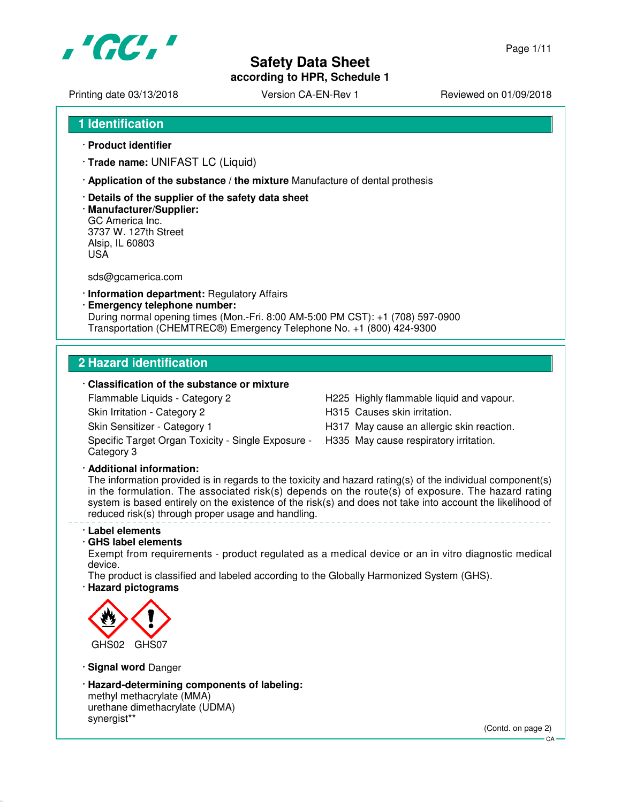

**according to HPR, Schedule 1**

Printing date 03/13/2018 <br>
Version CA-EN-Rev 1 Reviewed on 01/09/2018

- **1 Identification**
- · **Product identifier**
- · **Trade name:** UNIFAST LC (Liquid)
- · **Application of the substance / the mixture** Manufacture of dental prothesis
- · **Details of the supplier of the safety data sheet**
- · **Manufacturer/Supplier:** GC America Inc. 3737 W. 127th Street Alsip, IL 60803 USA

sds@gcamerica.com

- · **Information department:** Regulatory Affairs
- · **Emergency telephone number:** During normal opening times (Mon.-Fri. 8:00 AM-5:00 PM CST): +1 (708) 597-0900 Transportation (CHEMTREC®) Emergency Telephone No. +1 (800) 424-9300

## **2 Hazard identification**

## · **Classification of the substance or mixture**

Flammable Liquids - Category 2 H225 Highly flammable liquid and vapour.

- Skin Irritation Category 2 **H315** Causes skin irritation.
- Skin Sensitizer Category 1 **H317** May cause an allergic skin reaction.

Specific Target Organ Toxicity - Single Exposure - Category 3

H335 May cause respiratory irritation.

#### · **Additional information:**

The information provided is in regards to the toxicity and hazard rating(s) of the individual component(s) in the formulation. The associated risk(s) depends on the route(s) of exposure. The hazard rating system is based entirely on the existence of the risk(s) and does not take into account the likelihood of reduced risk(s) through proper usage and handling.

#### · **Label elements**

#### · **GHS label elements**

Exempt from requirements - product regulated as a medical device or an in vitro diagnostic medical device.

The product is classified and labeled according to the Globally Harmonized System (GHS). · **Hazard pictograms**



· **Signal word** Danger

· **Hazard-determining components of labeling:** methyl methacrylate (MMA) urethane dimethacrylate (UDMA) synergist\*\*

(Contd. on page 2)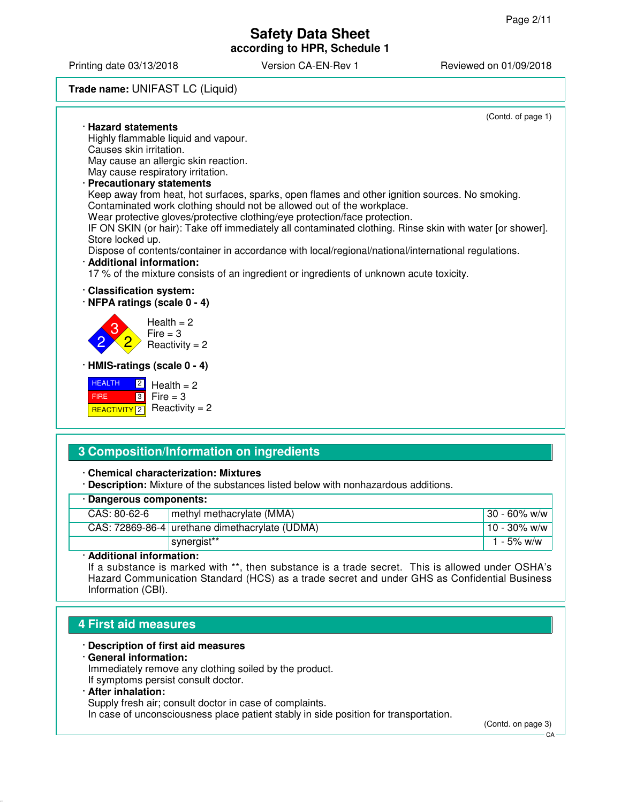Printing date 03/13/2018 **Version CA-EN-Rev 1** Reviewed on 01/09/2018

### **Trade name:** UNIFAST LC (Liquid)

(Contd. of page 1) · **Hazard statements** Highly flammable liquid and vapour. Causes skin irritation. May cause an allergic skin reaction. May cause respiratory irritation. · **Precautionary statements** Keep away from heat, hot surfaces, sparks, open flames and other ignition sources. No smoking. Contaminated work clothing should not be allowed out of the workplace. Wear protective gloves/protective clothing/eye protection/face protection. IF ON SKIN (or hair): Take off immediately all contaminated clothing. Rinse skin with water [or shower]. Store locked up. Dispose of contents/container in accordance with local/regional/national/international regulations. · **Additional information:** 17 % of the mixture consists of an ingredient or ingredients of unknown acute toxicity. · **Classification system:** · **NFPA ratings (scale 0 - 4)** 2 3 2  $Health = 2$  $Fire = 3$  $Reactivity = 2$ · **HMIS-ratings (scale 0 - 4)** HEALTH FIRE <mark>| REACTIVITY</mark> 2  $\boxed{2}$ 3  $Health = 2$  $Fire = 3$  $Reactivity = 2$ 

# **3 Composition/Information on ingredients**

· **Chemical characterization: Mixtures**

· **Description:** Mixture of the substances listed below with nonhazardous additions.

| · Dangerous components: |                                                |                  |  |
|-------------------------|------------------------------------------------|------------------|--|
| CAS: 80-62-6            | methyl methacrylate (MMA)                      | $130 - 60\%$ w/w |  |
|                         | CAS: 72869-86-4 urethane dimethacrylate (UDMA) | $10 - 30\%$ w/w  |  |
|                         | synergist**                                    | 1 - 5% w/w       |  |

· **Additional information:**

If a substance is marked with \*\*, then substance is a trade secret. This is allowed under OSHA's Hazard Communication Standard (HCS) as a trade secret and under GHS as Confidential Business Information (CBI).

# **4 First aid measures**

### · **Description of first aid measures**

· **General information:**

Immediately remove any clothing soiled by the product. If symptoms persist consult doctor.

## · **After inhalation:**

Supply fresh air; consult doctor in case of complaints.

In case of unconsciousness place patient stably in side position for transportation.

(Contd. on page 3)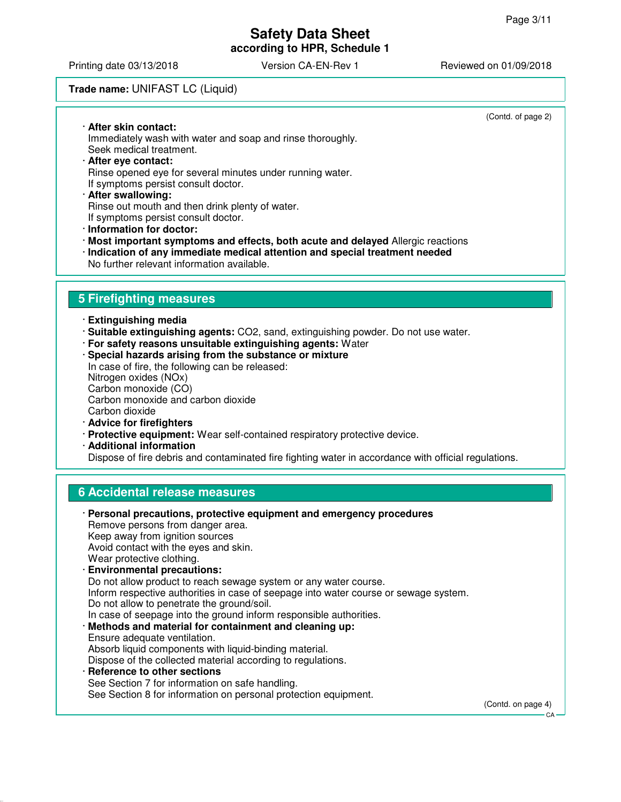(Contd. of page 2)

CA

# **Safety Data Sheet according to HPR, Schedule 1**

Printing date 03/13/2018 Version CA-EN-Rev 1 Reviewed on 01/09/2018

### **Trade name:** UNIFAST LC (Liquid)

· **After skin contact:** Immediately wash with water and soap and rinse thoroughly. Seek medical treatment. · **After eye contact:** Rinse opened eye for several minutes under running water. If symptoms persist consult doctor. · **After swallowing:** Rinse out mouth and then drink plenty of water. If symptoms persist consult doctor. · **Information for doctor:** · **Most important symptoms and effects, both acute and delayed** Allergic reactions · **Indication of any immediate medical attention and special treatment needed** No further relevant information available. **5 Firefighting measures** · **Extinguishing media** · **Suitable extinguishing agents:** CO2, sand, extinguishing powder. Do not use water. · **For safety reasons unsuitable extinguishing agents:** Water · **Special hazards arising from the substance or mixture** In case of fire, the following can be released: Nitrogen oxides (NOx) Carbon monoxide (CO) Carbon monoxide and carbon dioxide Carbon dioxide · **Advice for firefighters** · **Protective equipment:** Wear self-contained respiratory protective device. · **Additional information** Dispose of fire debris and contaminated fire fighting water in accordance with official regulations. **6 Accidental release measures**

## · **Personal precautions, protective equipment and emergency procedures** Remove persons from danger area. Keep away from ignition sources Avoid contact with the eyes and skin. Wear protective clothing. · **Environmental precautions:** Do not allow product to reach sewage system or any water course. Inform respective authorities in case of seepage into water course or sewage system. Do not allow to penetrate the ground/soil. In case of seepage into the ground inform responsible authorities. · **Methods and material for containment and cleaning up:** Ensure adequate ventilation. Absorb liquid components with liquid-binding material. Dispose of the collected material according to regulations. · **Reference to other sections** See Section 7 for information on safe handling. See Section 8 for information on personal protection equipment. (Contd. on page 4)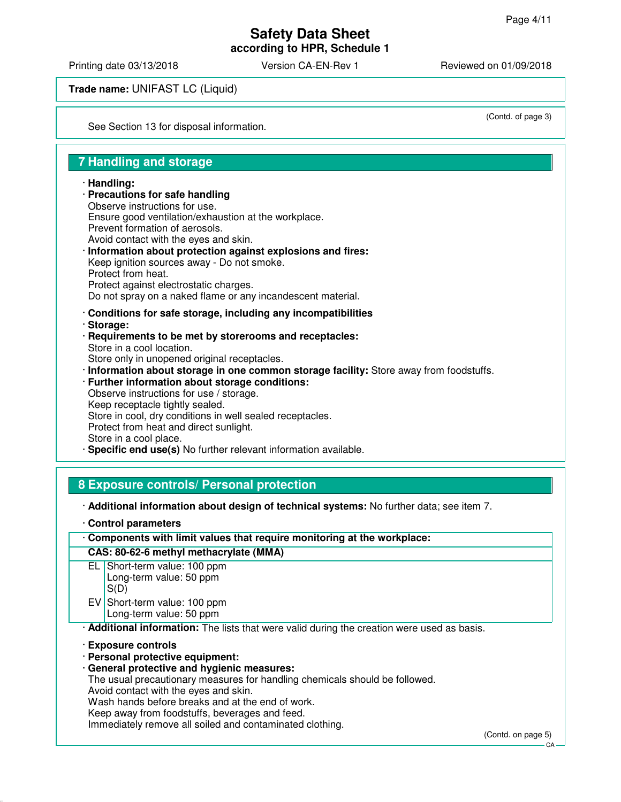**according to HPR, Schedule 1**

Printing date 03/13/2018 Version CA-EN-Rev 1 Reviewed on 01/09/2018

**Trade name:** UNIFAST LC (Liquid)

See Section 13 for disposal information.

(Contd. of page 3)

# **7 Handling and storage**

#### · **Handling:**

- · **Precautions for safe handling** Observe instructions for use. Ensure good ventilation/exhaustion at the workplace. Prevent formation of aerosols. Avoid contact with the eyes and skin. · **Information about protection against explosions and fires:** Keep ignition sources away - Do not smoke. Protect from heat. Protect against electrostatic charges. Do not spray on a naked flame or any incandescent material. · **Conditions for safe storage, including any incompatibilities**
- · **Storage:**
- · **Requirements to be met by storerooms and receptacles:** Store in a cool location. Store only in unopened original receptacles.
- · **Information about storage in one common storage facility:** Store away from foodstuffs.
- · **Further information about storage conditions:** Observe instructions for use / storage. Keep receptacle tightly sealed. Store in cool, dry conditions in well sealed receptacles. Protect from heat and direct sunlight. Store in a cool place.
- **Specific end use(s)** No further relevant information available.

## **8 Exposure controls/ Personal protection**

- · **Additional information about design of technical systems:** No further data; see item 7.
- · **Control parameters**

#### **CAS: 80-62-6 methyl methacrylate (MMA)**

- EL Short-term value: 100 ppm Long-term value: 50 ppm S(D) EV Short-term value: 100 ppm
	- Long-term value: 50 ppm

· **Additional information:** The lists that were valid during the creation were used as basis.

- · **Exposure controls**
- · **Personal protective equipment:**
- · **General protective and hygienic measures:**

The usual precautionary measures for handling chemicals should be followed.

Avoid contact with the eyes and skin.

Wash hands before breaks and at the end of work.

Keep away from foodstuffs, beverages and feed.

Immediately remove all soiled and contaminated clothing.

 $C.A$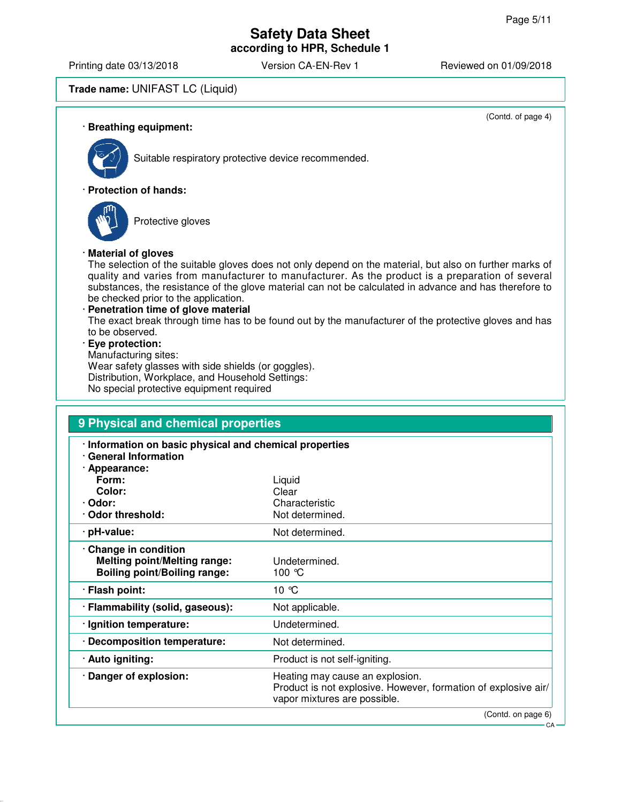(Contd. of page 4)

# **Safety Data Sheet according to HPR, Schedule 1**

Printing date 03/13/2018 **Version CA-EN-Rev 1** Reviewed on 01/09/2018

# **Trade name:** UNIFAST LC (Liquid)

· **Breathing equipment:**



Suitable respiratory protective device recommended.

#### · **Protection of hands:**



Protective gloves

#### · **Material of gloves**

The selection of the suitable gloves does not only depend on the material, but also on further marks of quality and varies from manufacturer to manufacturer. As the product is a preparation of several substances, the resistance of the glove material can not be calculated in advance and has therefore to be checked prior to the application.

#### · **Penetration time of glove material**

The exact break through time has to be found out by the manufacturer of the protective gloves and has to be observed.

#### · **Eye protection:**

Manufacturing sites: Wear safety glasses with side shields (or goggles). Distribution, Workplace, and Household Settings: No special protective equipment required

| 9 Physical and chemical properties                                                                |                                                                                                                                   |  |
|---------------------------------------------------------------------------------------------------|-----------------------------------------------------------------------------------------------------------------------------------|--|
| · Information on basic physical and chemical properties<br>· General Information<br>· Appearance: |                                                                                                                                   |  |
| Form:                                                                                             | Liquid                                                                                                                            |  |
| Color:                                                                                            | Clear                                                                                                                             |  |
| · Odor:                                                                                           | Characteristic                                                                                                                    |  |
| Odor threshold:                                                                                   | Not determined.                                                                                                                   |  |
| · pH-value:                                                                                       | Not determined.                                                                                                                   |  |
| Change in condition<br><b>Melting point/Melting range:</b><br><b>Boiling point/Boiling range:</b> | Undetermined.<br>100 $\degree$ C                                                                                                  |  |
| · Flash point:                                                                                    | 10 °C                                                                                                                             |  |
| · Flammability (solid, gaseous):                                                                  | Not applicable.                                                                                                                   |  |
| · Ignition temperature:                                                                           | Undetermined.                                                                                                                     |  |
| · Decomposition temperature:                                                                      | Not determined.                                                                                                                   |  |
| · Auto igniting:                                                                                  | Product is not self-igniting.                                                                                                     |  |
| · Danger of explosion:                                                                            | Heating may cause an explosion.<br>Product is not explosive. However, formation of explosive air/<br>vapor mixtures are possible. |  |
|                                                                                                   | (Contd. on page 6)                                                                                                                |  |

CA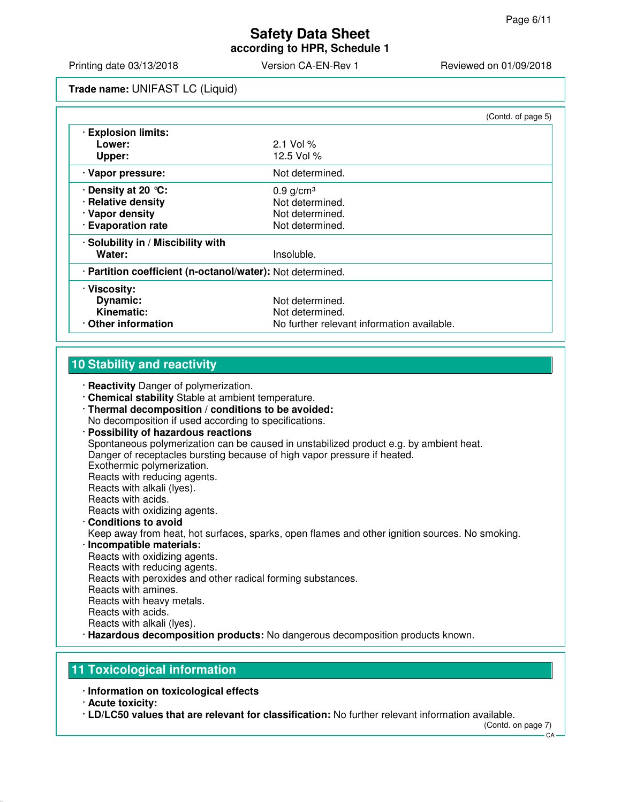**according to HPR, Schedule 1**

Printing date 03/13/2018 **Version CA-EN-Rev 1** Reviewed on 01/09/2018

**Trade name:** UNIFAST LC (Liquid)

|                                                            |                                            | (Contd. of page 5) |
|------------------------------------------------------------|--------------------------------------------|--------------------|
| <b>Explosion limits:</b>                                   |                                            |                    |
| Lower:                                                     | 2.1 Vol $%$                                |                    |
| Upper:                                                     | 12.5 Vol %                                 |                    |
| · Vapor pressure:                                          | Not determined.                            |                    |
| . Density at 20 ℃:                                         | $0.9$ g/cm <sup>3</sup>                    |                    |
| · Relative density                                         | Not determined.                            |                    |
| · Vapor density                                            | Not determined.                            |                    |
| · Evaporation rate                                         | Not determined.                            |                    |
| · Solubility in / Miscibility with                         |                                            |                    |
| Water:                                                     | Insoluble.                                 |                    |
| · Partition coefficient (n-octanol/water): Not determined. |                                            |                    |
| · Viscosity:                                               |                                            |                    |
| Dynamic:                                                   | Not determined.                            |                    |
| Kinematic:                                                 | Not determined.                            |                    |
| Other information                                          | No further relevant information available. |                    |

# **10 Stability and reactivity**

· **Reactivity** Danger of polymerization.

- · **Chemical stability** Stable at ambient temperature.
- · **Thermal decomposition / conditions to be avoided:** No decomposition if used according to specifications.
- · **Possibility of hazardous reactions** Spontaneous polymerization can be caused in unstabilized product e.g. by ambient heat. Danger of receptacles bursting because of high vapor pressure if heated. Exothermic polymerization. Reacts with reducing agents. Reacts with alkali (lyes). Reacts with acids. Reacts with oxidizing agents. · **Conditions to avoid** Keep away from heat, hot surfaces, sparks, open flames and other ignition sources. No smoking. · **Incompatible materials:** Reacts with oxidizing agents. Reacts with reducing agents. Reacts with peroxides and other radical forming substances. Reacts with amines. Reacts with heavy metals. Reacts with acids. Reacts with alkali (lyes).
- · **Hazardous decomposition products:** No dangerous decomposition products known.

## **11 Toxicological information**

· **Information on toxicological effects**

· **LD/LC50 values that are relevant for classification:** No further relevant information available.

(Contd. on page 7)

<sup>·</sup> **Acute toxicity:**

CA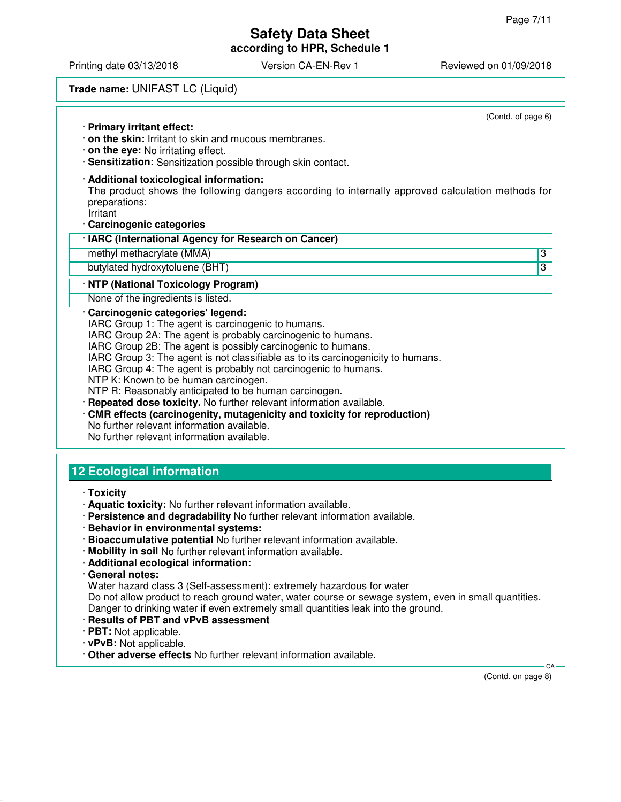**according to HPR, Schedule 1**

Printing date 03/13/2018 <br>
Version CA-EN-Rev 1 Reviewed on 01/09/2018

# **Trade name:** UNIFAST LC (Liquid)

| (Contd. of page 6)<br>· Primary irritant effect:<br>$\cdot$ on the skin: Irritant to skin and mucous membranes.<br>$\cdot$ on the eye: No irritating effect.<br>· Sensitization: Sensitization possible through skin contact.                                                                                                                                                                                                                                                                                                                                                                                                                                                 |
|-------------------------------------------------------------------------------------------------------------------------------------------------------------------------------------------------------------------------------------------------------------------------------------------------------------------------------------------------------------------------------------------------------------------------------------------------------------------------------------------------------------------------------------------------------------------------------------------------------------------------------------------------------------------------------|
| · Additional toxicological information:<br>The product shows the following dangers according to internally approved calculation methods for<br>preparations:<br>Irritant<br>· Carcinogenic categories                                                                                                                                                                                                                                                                                                                                                                                                                                                                         |
| · IARC (International Agency for Research on Cancer)                                                                                                                                                                                                                                                                                                                                                                                                                                                                                                                                                                                                                          |
| $\overline{3}$<br>methyl methacrylate (MMA)                                                                                                                                                                                                                                                                                                                                                                                                                                                                                                                                                                                                                                   |
| 3<br>butylated hydroxytoluene (BHT)                                                                                                                                                                                                                                                                                                                                                                                                                                                                                                                                                                                                                                           |
| · NTP (National Toxicology Program)                                                                                                                                                                                                                                                                                                                                                                                                                                                                                                                                                                                                                                           |
| None of the ingredients is listed.                                                                                                                                                                                                                                                                                                                                                                                                                                                                                                                                                                                                                                            |
| Carcinogenic categories' legend:<br>IARC Group 1: The agent is carcinogenic to humans.<br>IARC Group 2A: The agent is probably carcinogenic to humans.<br>IARC Group 2B: The agent is possibly carcinogenic to humans.<br>IARC Group 3: The agent is not classifiable as to its carcinogenicity to humans.<br>IARC Group 4: The agent is probably not carcinogenic to humans.<br>NTP K: Known to be human carcinogen.<br>NTP R: Reasonably anticipated to be human carcinogen.<br>Repeated dose toxicity. No further relevant information available.<br>CMR effects (carcinogenity, mutagenicity and toxicity for reproduction)<br>No further relevant information available. |

No further relevant information available.

# **12 Ecological information**

- · **Toxicity**
- · **Aquatic toxicity:** No further relevant information available.
- · **Persistence and degradability** No further relevant information available.
- · **Behavior in environmental systems:**
- · **Bioaccumulative potential** No further relevant information available.
- · **Mobility in soil** No further relevant information available.
- · **Additional ecological information:**
- · **General notes:**

Water hazard class 3 (Self-assessment): extremely hazardous for water

Do not allow product to reach ground water, water course or sewage system, even in small quantities. Danger to drinking water if even extremely small quantities leak into the ground.

- · **Results of PBT and vPvB assessment**
- · **PBT:** Not applicable.
- · **vPvB:** Not applicable.
- · **Other adverse effects** No further relevant information available.

(Contd. on page 8)

CA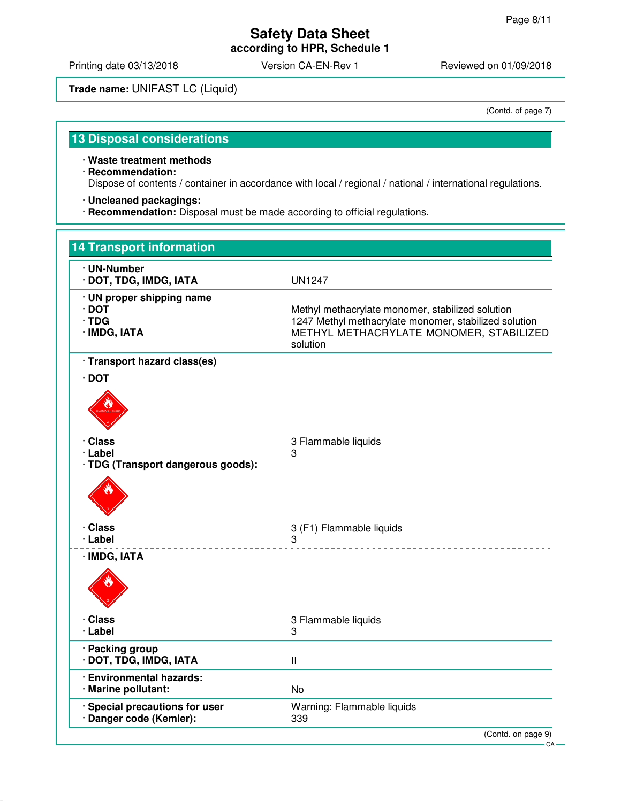Printing date 03/13/2018 Version CA-EN-Rev 1 Reviewed on 01/09/2018

# **Trade name:** UNIFAST LC (Liquid)

(Contd. of page 7)

# **13 Disposal considerations**

· **Waste treatment methods**

- · **Recommendation:** Dispose of contents / container in accordance with local / regional / national / international regulations.
- · **Uncleaned packagings:**
- · **Recommendation:** Disposal must be made according to official regulations.

| <b>14 Transport information</b>                                         |                                                                                                                                                                  |
|-------------------------------------------------------------------------|------------------------------------------------------------------------------------------------------------------------------------------------------------------|
| · UN-Number<br>· DOT, TDG, IMDG, IATA                                   | <b>UN1247</b>                                                                                                                                                    |
| · UN proper shipping name<br>$\cdot$ DOT<br>$\cdot$ TDG<br>· IMDG, IATA | Methyl methacrylate monomer, stabilized solution<br>1247 Methyl methacrylate monomer, stabilized solution<br>METHYL METHACRYLATE MONOMER, STABILIZED<br>solution |
| · Transport hazard class(es)<br>$\cdot$ DOT                             |                                                                                                                                                                  |
|                                                                         |                                                                                                                                                                  |
| · Class<br>· Label<br>· TDG (Transport dangerous goods):                | 3 Flammable liquids<br>3                                                                                                                                         |
|                                                                         |                                                                                                                                                                  |
| · Class<br>· Label                                                      | 3 (F1) Flammable liquids<br>3                                                                                                                                    |
| · IMDG, IATA                                                            |                                                                                                                                                                  |
| · Class<br>· Label                                                      | 3 Flammable liquids<br>3                                                                                                                                         |
| · Packing group<br>· DOT, TDG, IMDG, IATA                               | $\mathbf{I}$                                                                                                                                                     |
| · Environmental hazards:<br>· Marine pollutant:                         | <b>No</b>                                                                                                                                                        |
| · Special precautions for user<br>· Danger code (Kemler):               | Warning: Flammable liquids<br>339                                                                                                                                |
|                                                                         | (Contd. on page 9)<br>CA-                                                                                                                                        |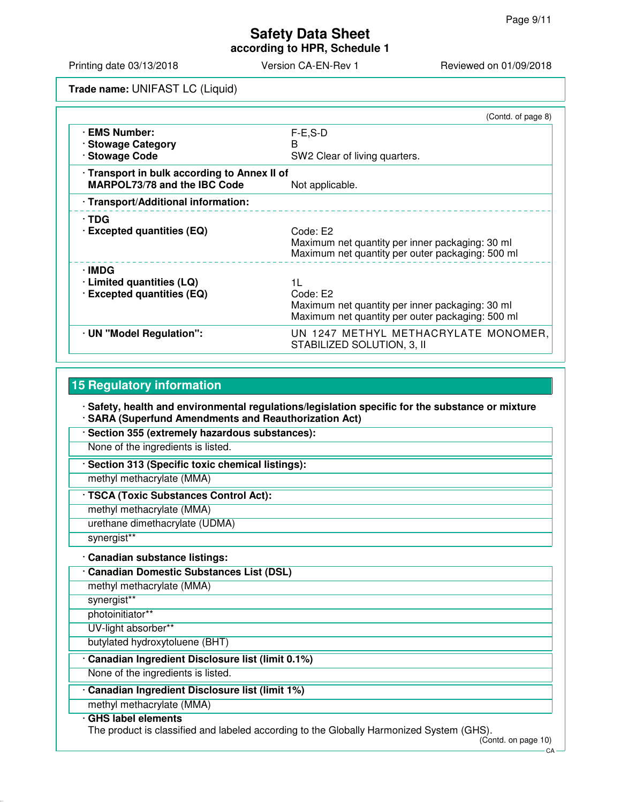**according to HPR, Schedule 1**

Printing date 03/13/2018 **Version CA-EN-Rev 1** Reviewed on 01/09/2018

**Trade name:** UNIFAST LC (Liquid)

|                                                                                     | (Contd. of page 8)                                                                                                    |  |
|-------------------------------------------------------------------------------------|-----------------------------------------------------------------------------------------------------------------------|--|
| <b>EMS Number:</b><br>· Stowage Category<br>· Stowage Code                          | $F-E.S-D$<br>B<br>SW2 Clear of living quarters.                                                                       |  |
| · Transport in bulk according to Annex II of<br><b>MARPOL73/78 and the IBC Code</b> | Not applicable.                                                                                                       |  |
| · Transport/Additional information:                                                 |                                                                                                                       |  |
| $\cdot$ TDG<br>$\cdot$ Excepted quantities (EQ)                                     | Code: E2<br>Maximum net quantity per inner packaging: 30 ml<br>Maximum net quantity per outer packaging: 500 ml       |  |
| ∙IMDG<br>$\cdot$ Limited quantities (LQ)<br>· Excepted quantities (EQ)              | 11<br>Code: E2<br>Maximum net quantity per inner packaging: 30 ml<br>Maximum net quantity per outer packaging: 500 ml |  |
| · UN "Model Regulation":                                                            | UN 1247 METHYL METHACRYLATE MONOMER,<br>STABILIZED SOLUTION, 3, II                                                    |  |

# **15 Regulatory information**

· **Safety, health and environmental regulations/legislation specific for the substance or mixture**

- · **SARA (Superfund Amendments and Reauthorization Act)**
- · **Section 355 (extremely hazardous substances):**
- None of the ingredients is listed.
- · **Section 313 (Specific toxic chemical listings):**

methyl methacrylate (MMA)

- · **TSCA (Toxic Substances Control Act):**
- methyl methacrylate (MMA)
- urethane dimethacrylate (UDMA)
- synergist\*\*

## · **Canadian substance listings:**

- · **Canadian Domestic Substances List (DSL)**
- methyl methacrylate (MMA)
- synergist\*\*
- photoinitiator\*\*
- UV-light absorber\*\*
- butylated hydroxytoluene (BHT)

## · **Canadian Ingredient Disclosure list (limit 0.1%)**

- None of the ingredients is listed.
- · **Canadian Ingredient Disclosure list (limit 1%)**
- methyl methacrylate (MMA)

### · **GHS label elements**

The product is classified and labeled according to the Globally Harmonized System (GHS).

(Contd. on page 10)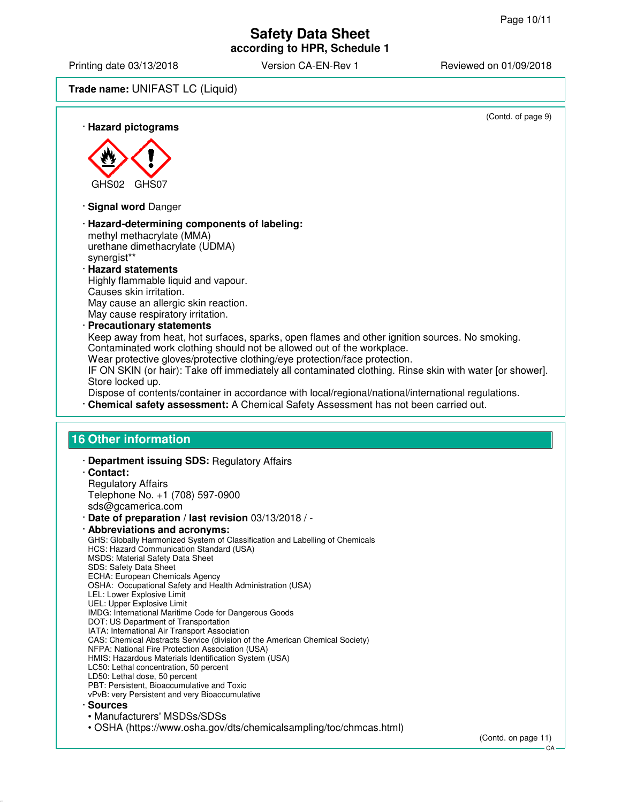Printing date 03/13/2018 Version CA-EN-Rev 1 Reviewed on 01/09/2018

## **Trade name:** UNIFAST LC (Liquid)

(Contd. of page 9) · **Hazard pictograms** GHS02 GHS07 · **Signal word** Danger · **Hazard-determining components of labeling:** methyl methacrylate (MMA) urethane dimethacrylate (UDMA) synergist\*\* · **Hazard statements** Highly flammable liquid and vapour. Causes skin irritation. May cause an allergic skin reaction. May cause respiratory irritation. · **Precautionary statements** Keep away from heat, hot surfaces, sparks, open flames and other ignition sources. No smoking. Contaminated work clothing should not be allowed out of the workplace. Wear protective gloves/protective clothing/eye protection/face protection. IF ON SKIN (or hair): Take off immediately all contaminated clothing. Rinse skin with water [or shower]. Store locked up. Dispose of contents/container in accordance with local/regional/national/international regulations. · **Chemical safety assessment:** A Chemical Safety Assessment has not been carried out. **16 Other information** · **Department issuing SDS:** Regulatory Affairs · **Contact:** Regulatory Affairs Telephone No. +1 (708) 597-0900 sds@gcamerica.com · **Date of preparation / last revision** 03/13/2018 / - · **Abbreviations and acronyms:** GHS: Globally Harmonized System of Classification and Labelling of Chemicals HCS: Hazard Communication Standard (USA) MSDS: Material Safety Data Sheet SDS: Safety Data Sheet ECHA: European Chemicals Agency OSHA: Occupational Safety and Health Administration (USA) LEL: Lower Explosive Limit UEL: Upper Explosive Limit IMDG: International Maritime Code for Dangerous Goods DOT: US Department of Transportation IATA: International Air Transport Association CAS: Chemical Abstracts Service (division of the American Chemical Society) NFPA: National Fire Protection Association (USA) HMIS: Hazardous Materials Identification System (USA) LC50: Lethal concentration, 50 percent LD50: Lethal dose, 50 percent PBT: Persistent, Bioaccumulative and Toxic vPvB: very Persistent and very Bioaccumulative · **Sources** • Manufacturers' MSDSs/SDSs • OSHA (https://www.osha.gov/dts/chemicalsampling/toc/chmcas.html) (Contd. on page 11)